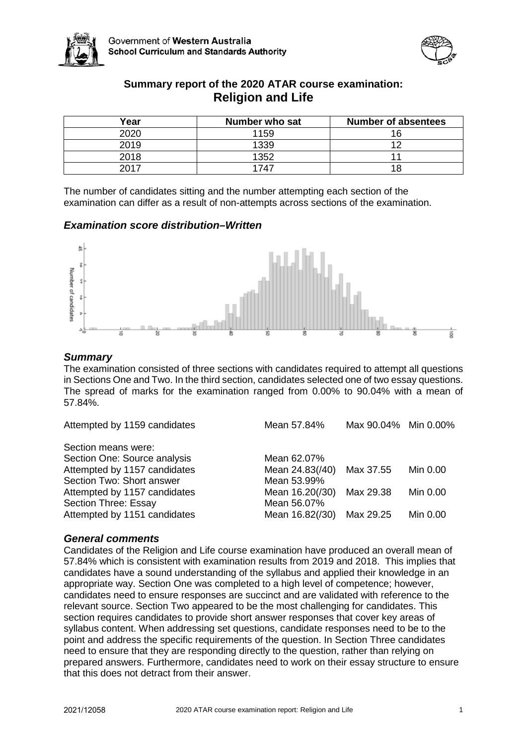



# **Summary report of the 2020 ATAR course examination: Religion and Life**

| Year | Number who sat | <b>Number of absentees</b> |
|------|----------------|----------------------------|
| 2020 | 1159           |                            |
| 2019 | 1339           |                            |
| 2018 | 1352           |                            |
| 2017 | 1747           |                            |

The number of candidates sitting and the number attempting each section of the examination can differ as a result of non-attempts across sections of the examination.

## *Examination score distribution–Written*



## *Summary*

The examination consisted of three sections with candidates required to attempt all questions in Sections One and Two. In the third section, candidates selected one of two essay questions. The spread of marks for the examination ranged from 0.00% to 90.04% with a mean of 57.84%.

| Attempted by 1159 candidates | Mean 57.84%     | Max 90.04% Min 0.00% |          |
|------------------------------|-----------------|----------------------|----------|
| Section means were:          |                 |                      |          |
| Section One: Source analysis | Mean 62.07%     |                      |          |
| Attempted by 1157 candidates | Mean 24.83(/40) | Max 37.55            | Min 0.00 |
| Section Two: Short answer    | Mean 53.99%     |                      |          |
| Attempted by 1157 candidates | Mean 16.20(/30) | Max 29.38            | Min 0.00 |
| Section Three: Essay         | Mean 56.07%     |                      |          |
| Attempted by 1151 candidates | Mean 16.82(/30) | Max 29.25            | Min 0.00 |
|                              |                 |                      |          |

### *General comments*

Candidates of the Religion and Life course examination have produced an overall mean of 57.84% which is consistent with examination results from 2019 and 2018. This implies that candidates have a sound understanding of the syllabus and applied their knowledge in an appropriate way. Section One was completed to a high level of competence; however, candidates need to ensure responses are succinct and are validated with reference to the relevant source. Section Two appeared to be the most challenging for candidates. This section requires candidates to provide short answer responses that cover key areas of syllabus content. When addressing set questions, candidate responses need to be to the point and address the specific requirements of the question. In Section Three candidates need to ensure that they are responding directly to the question, rather than relying on prepared answers. Furthermore, candidates need to work on their essay structure to ensure that this does not detract from their answer.